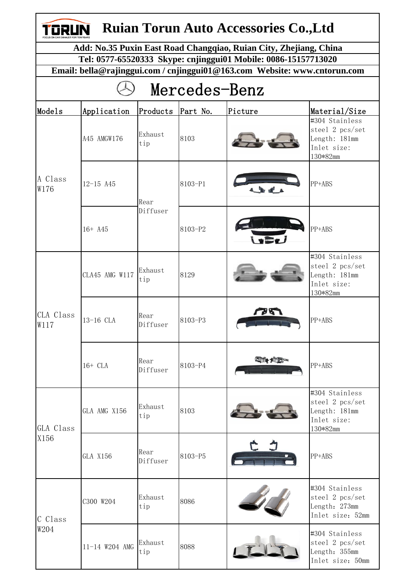| <b>Ruian Torun Auto Accessories Co., Ltd</b>                              |                 |                   |         |         |                                                                               |  |
|---------------------------------------------------------------------------|-----------------|-------------------|---------|---------|-------------------------------------------------------------------------------|--|
| Add: No.35 Puxin East Road Changqiao, Ruian City, Zhejiang, China         |                 |                   |         |         |                                                                               |  |
| Tel: 0577-65520333 Skype: cnjinggui01 Mobile: 0086-15157713020            |                 |                   |         |         |                                                                               |  |
| Email: bella@rajinggui.com / cnjinggui01@163.com Website: www.cntorun.com |                 |                   |         |         |                                                                               |  |
| Mercedes-Benz                                                             |                 |                   |         |         |                                                                               |  |
| Models                                                                    | Application     | Products Part No. |         | Picture | Material/Size                                                                 |  |
| A Class<br>W176                                                           | A45 AMGW176     | Exhaust<br>tip    | 8103    |         | #304 Stainless<br>steel 2 pcs/set<br>Length: 181mm<br>Inlet size:<br>130*82mm |  |
|                                                                           | $12 - 15$ A45   | Rear<br>Diffuser  | 8103-P1 |         | PP+ABS                                                                        |  |
|                                                                           | $16+ A45$       |                   | 8103-P2 |         | PP+ABS                                                                        |  |
| CLA Class<br>W117                                                         | CLA45 AMG W117  | Exhaust<br>tip    | 8129    |         | #304 Stainless<br>steel 2 pcs/set<br>Length: 181mm<br>Inlet size:<br>130*82mm |  |
|                                                                           | 13-16 CLA       | Rear<br>Diffuser  | 8103-P3 | 75      | PP+ABS                                                                        |  |
|                                                                           | $16+$ CLA       | Rear<br>Diffuser  | 8103-P4 | NET ALL | PP+ABS                                                                        |  |
| GLA Class<br>X156                                                         | GLA AMG X156    | Exhaust<br>tip    | 8103    |         | #304 Stainless<br>steel 2 pcs/set<br>Length: 181mm<br>Inlet size:<br>130*82mm |  |
|                                                                           | <b>GLA X156</b> | Rear<br>Diffuser  | 8103-P5 |         | PP+ABS                                                                        |  |
| C Class<br>W204                                                           | C300 W204       | Exhaust<br>tip    | 8086    |         | #304 Stainless<br>steel 2 pcs/set<br>Length: 273mm<br>Inlet size: 52mm        |  |
|                                                                           | 11-14 W204 AMG  | Exhaust<br>tip    | 8088    |         | #304 Stainless<br>steel 2 pcs/set<br>Length: 355mm<br>Inlet size: 50mm        |  |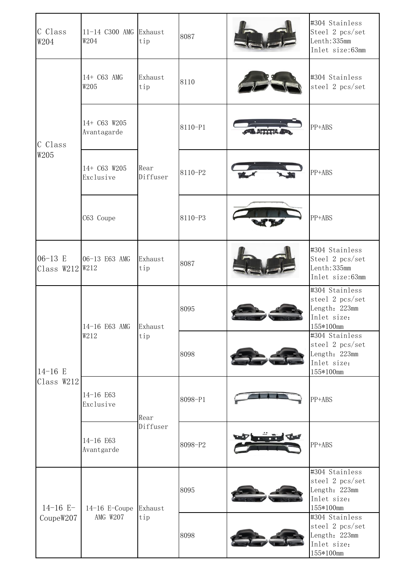| C Class<br>W204              | $11-14$ C300 AMG Exhaust<br>W204 | tip              | 8087    |                           | #304 Stainless<br>Steel 2 pcs/set<br>Lenth: 335mm<br>Inlet size:63mm           |
|------------------------------|----------------------------------|------------------|---------|---------------------------|--------------------------------------------------------------------------------|
| C Class<br>W205              | 14+ C63 AMG<br>W205              | Exhaust<br>tip   | 8110    |                           | #304 Stainless<br>steel 2 pcs/set                                              |
|                              | 14+ C63 W205<br>Avantagarde      | Rear<br>Diffuser | 8110-P1 | $\epsilon$ and $\epsilon$ | PP+ABS                                                                         |
|                              | 14+ C63 W205<br>Exclusive        |                  | 8110-P2 |                           | PP+ABS                                                                         |
|                              | C63 Coupe                        |                  | 8110-P3 |                           | PP+ABS                                                                         |
| $06-13$ E<br>Class W212 W212 | 06-13 E63 AMG                    | Exhaust<br>tip   | 8087    |                           | #304 Stainless<br>Steel 2 pcs/set<br>Lenth: 335mm<br>Inlet size:63mm           |
| $14-16$ E<br>Class W212      | 14-16 E63 AMG<br>W212            | Exhaust<br>tip   | 8095    |                           | #304 Stainless<br>steel 2 pcs/set<br>Length: 223mm<br>Inlet size:<br>155*100mm |
|                              |                                  |                  | 8098    |                           | #304 Stainless<br>steel 2 pcs/set<br>Length: 223mm<br>Inlet size:<br>155*100mm |
|                              | 14-16 E63<br>Exclusive           | Rear<br>Diffuser | 8098-P1 |                           | PP+ABS                                                                         |
|                              | 14-16 E63<br>Avantgarde          |                  | 8098-P2 |                           | PP+ABS                                                                         |
| $14-16$ E-<br>CoupeW207      | $14-16$ E-Coupe<br>AMG W207      | Exhaust<br>tip   | 8095    |                           | #304 Stainless<br>steel 2 pcs/set<br>Length: 223mm<br>Inlet size:<br>155*100mm |
|                              |                                  |                  | 8098    |                           | #304 Stainless<br>steel 2 pcs/set<br>Length: 223mm<br>Inlet size:<br>155*100mm |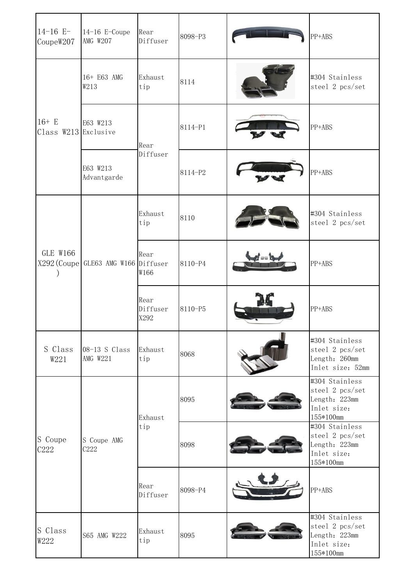| $14-16$ E-<br>CoupeW207         | 14-16 E-Coupe<br>AMG W207           | Rear<br>Diffuser         | 8098-P3 |        | PP+ABS                                                                                  |
|---------------------------------|-------------------------------------|--------------------------|---------|--------|-----------------------------------------------------------------------------------------|
| $16+ E$<br>Class W213 Exclusive | 16+ E63 AMG<br>W213                 | Exhaust<br>tip           | 8114    |        | #304 Stainless<br>steel 2 pcs/set                                                       |
|                                 | E63 W213                            | Rear<br>Diffuser         | 8114-P1 |        | PP+ABS                                                                                  |
|                                 | E63 W213<br>Advantgarde             |                          | 8114-P2 |        | PP+ABS                                                                                  |
| <b>GLE W166</b>                 | X292 (Coupe GLE63 AMG W166 Diffuser | Exhaust<br>tip           | 8110    |        | #304 Stainless<br>steel 2 pcs/set                                                       |
|                                 |                                     | Rear<br>W166             | 8110-P4 | f se b | PP+ABS                                                                                  |
|                                 |                                     | Rear<br>Diffuser<br>X292 | 8110-P5 |        | PP+ABS                                                                                  |
| S Class<br>W221                 | 08-13 S Class<br>AMG W221           | Exhaust<br>tip           | 8068    |        | #304 Stainless<br>steel 2 pcs/set<br>Length: 260mm<br>Inlet size: 52mm                  |
| S Coupe<br>C222                 | S Coupe AMG<br>C222                 | Exhaust<br>tip           | 8095    |        | #304 Stainless<br>steel 2 pcs/set<br>Length: 223mm<br>Inlet size:<br>155*100mm          |
|                                 |                                     |                          | 8098    |        | #304 Stainless<br>steel 2 pcs/set<br>Length: 223mm<br>Inlet size:<br>155*100mm          |
|                                 |                                     | Rear<br>Diffuser         | 8098-P4 |        | PP+ABS                                                                                  |
| S Class<br>W222                 | S65 AMG W222                        | Exhaust<br>tip           | 8095    |        | #304 Stainless<br>steel 2 pcs/set<br>Length: 223mm<br>Inlet size:<br>$155*100\text{mm}$ |